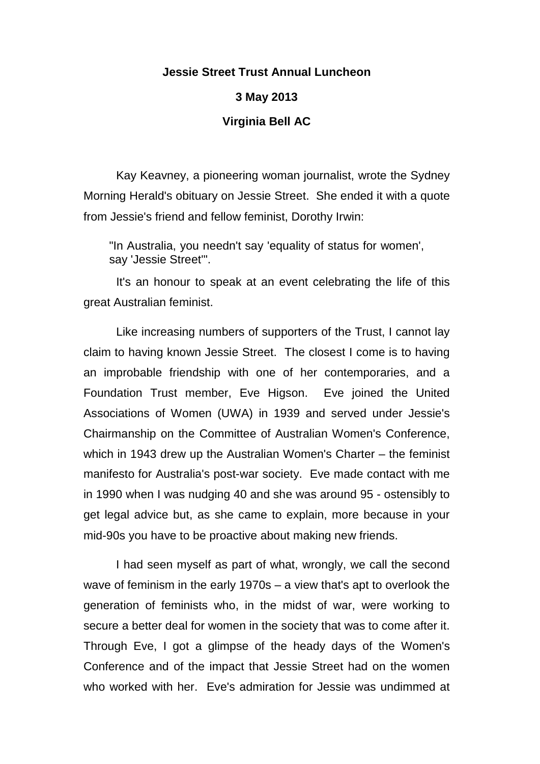## **Jessie Street Trust Annual Luncheon**

## **3 May 2013**

## **Virginia Bell AC**

Kay Keavney, a pioneering woman journalist, wrote the Sydney Morning Herald's obituary on Jessie Street. She ended it with a quote from Jessie's friend and fellow feminist, Dorothy Irwin:

"In Australia, you needn't say 'equality of status for women', say 'Jessie Street'".

It's an honour to speak at an event celebrating the life of this great Australian feminist.

Like increasing numbers of supporters of the Trust, I cannot lay claim to having known Jessie Street. The closest I come is to having an improbable friendship with one of her contemporaries, and a Foundation Trust member, Eve Higson. Eve joined the United Associations of Women (UWA) in 1939 and served under Jessie's Chairmanship on the Committee of Australian Women's Conference, which in 1943 drew up the Australian Women's Charter – the feminist manifesto for Australia's post-war society. Eve made contact with me in 1990 when I was nudging 40 and she was around 95 - ostensibly to get legal advice but, as she came to explain, more because in your mid-90s you have to be proactive about making new friends.

I had seen myself as part of what, wrongly, we call the second wave of feminism in the early 1970s – a view that's apt to overlook the generation of feminists who, in the midst of war, were working to secure a better deal for women in the society that was to come after it. Through Eve, I got a glimpse of the heady days of the Women's Conference and of the impact that Jessie Street had on the women who worked with her. Eve's admiration for Jessie was undimmed at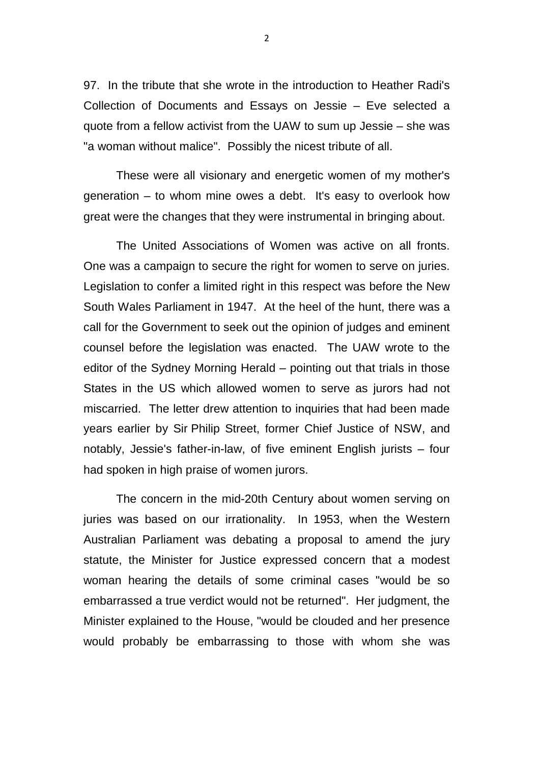97. In the tribute that she wrote in the introduction to Heather Radi's Collection of Documents and Essays on Jessie – Eve selected a quote from a fellow activist from the UAW to sum up Jessie – she was "a woman without malice". Possibly the nicest tribute of all.

These were all visionary and energetic women of my mother's generation – to whom mine owes a debt. It's easy to overlook how great were the changes that they were instrumental in bringing about.

The United Associations of Women was active on all fronts. One was a campaign to secure the right for women to serve on juries. Legislation to confer a limited right in this respect was before the New South Wales Parliament in 1947. At the heel of the hunt, there was a call for the Government to seek out the opinion of judges and eminent counsel before the legislation was enacted. The UAW wrote to the editor of the Sydney Morning Herald – pointing out that trials in those States in the US which allowed women to serve as jurors had not miscarried. The letter drew attention to inquiries that had been made years earlier by Sir Philip Street, former Chief Justice of NSW, and notably, Jessie's father-in-law, of five eminent English jurists – four had spoken in high praise of women jurors.

The concern in the mid-20th Century about women serving on juries was based on our irrationality. In 1953, when the Western Australian Parliament was debating a proposal to amend the jury statute, the Minister for Justice expressed concern that a modest woman hearing the details of some criminal cases "would be so embarrassed a true verdict would not be returned". Her judgment, the Minister explained to the House, "would be clouded and her presence would probably be embarrassing to those with whom she was

2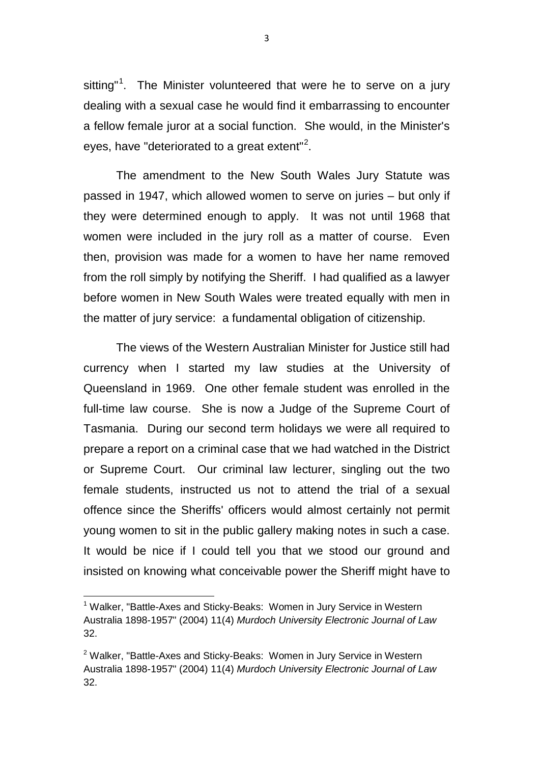sitting"<sup>[1](#page-2-0)</sup>. The Minister volunteered that were he to serve on a jury dealing with a sexual case he would find it embarrassing to encounter a fellow female juror at a social function. She would, in the Minister's eyes, have "deteriorated to a great extent"<sup>[2](#page-2-1)</sup>.

The amendment to the New South Wales Jury Statute was passed in 1947, which allowed women to serve on juries – but only if they were determined enough to apply. It was not until 1968 that women were included in the jury roll as a matter of course. Even then, provision was made for a women to have her name removed from the roll simply by notifying the Sheriff. I had qualified as a lawyer before women in New South Wales were treated equally with men in the matter of jury service: a fundamental obligation of citizenship.

The views of the Western Australian Minister for Justice still had currency when I started my law studies at the University of Queensland in 1969. One other female student was enrolled in the full-time law course. She is now a Judge of the Supreme Court of Tasmania. During our second term holidays we were all required to prepare a report on a criminal case that we had watched in the District or Supreme Court. Our criminal law lecturer, singling out the two female students, instructed us not to attend the trial of a sexual offence since the Sheriffs' officers would almost certainly not permit young women to sit in the public gallery making notes in such a case. It would be nice if I could tell you that we stood our ground and insisted on knowing what conceivable power the Sheriff might have to

<span id="page-2-0"></span><sup>&</sup>lt;sup>1</sup> Walker, "Battle-Axes and Sticky-Beaks: Women in Jury Service in Western Australia 1898-1957" (2004) 11(4) *Murdoch University Electronic Journal of Law* 32.

<span id="page-2-1"></span><sup>&</sup>lt;sup>2</sup> Walker, "Battle-Axes and Sticky-Beaks: Women in Jury Service in Western Australia 1898-1957" (2004) 11(4) *Murdoch University Electronic Journal of Law* 32.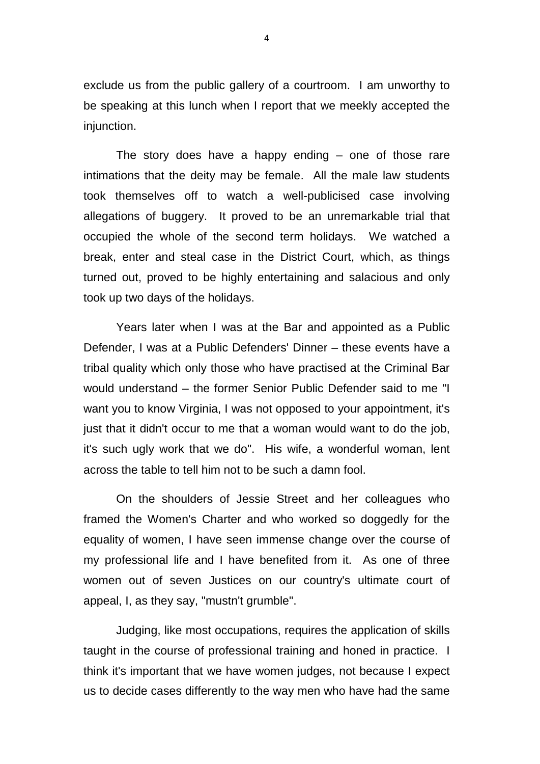exclude us from the public gallery of a courtroom. I am unworthy to be speaking at this lunch when I report that we meekly accepted the injunction.

The story does have a happy ending – one of those rare intimations that the deity may be female. All the male law students took themselves off to watch a well-publicised case involving allegations of buggery. It proved to be an unremarkable trial that occupied the whole of the second term holidays. We watched a break, enter and steal case in the District Court, which, as things turned out, proved to be highly entertaining and salacious and only took up two days of the holidays.

Years later when I was at the Bar and appointed as a Public Defender, I was at a Public Defenders' Dinner – these events have a tribal quality which only those who have practised at the Criminal Bar would understand – the former Senior Public Defender said to me "I want you to know Virginia, I was not opposed to your appointment, it's just that it didn't occur to me that a woman would want to do the job, it's such ugly work that we do". His wife, a wonderful woman, lent across the table to tell him not to be such a damn fool.

On the shoulders of Jessie Street and her colleagues who framed the Women's Charter and who worked so doggedly for the equality of women, I have seen immense change over the course of my professional life and I have benefited from it. As one of three women out of seven Justices on our country's ultimate court of appeal, I, as they say, "mustn't grumble".

Judging, like most occupations, requires the application of skills taught in the course of professional training and honed in practice. I think it's important that we have women judges, not because I expect us to decide cases differently to the way men who have had the same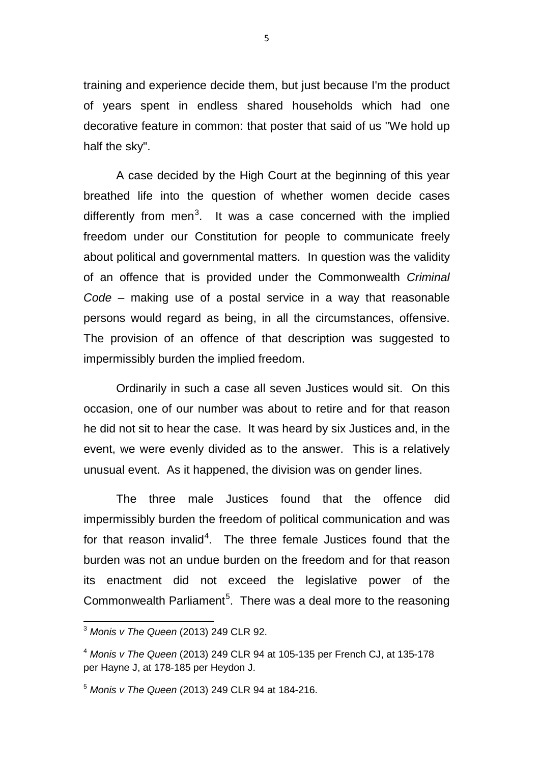training and experience decide them, but just because I'm the product of years spent in endless shared households which had one decorative feature in common: that poster that said of us "We hold up half the sky".

A case decided by the High Court at the beginning of this year breathed life into the question of whether women decide cases differently from men<sup>[3](#page-4-0)</sup>. It was a case concerned with the implied freedom under our Constitution for people to communicate freely about political and governmental matters. In question was the validity of an offence that is provided under the Commonwealth *Criminal Code* – making use of a postal service in a way that reasonable persons would regard as being, in all the circumstances, offensive. The provision of an offence of that description was suggested to impermissibly burden the implied freedom.

Ordinarily in such a case all seven Justices would sit. On this occasion, one of our number was about to retire and for that reason he did not sit to hear the case. It was heard by six Justices and, in the event, we were evenly divided as to the answer. This is a relatively unusual event. As it happened, the division was on gender lines.

The three male Justices found that the offence did impermissibly burden the freedom of political communication and was for that reason invalid<sup>[4](#page-4-1)</sup>. The three female Justices found that the burden was not an undue burden on the freedom and for that reason its enactment did not exceed the legislative power of the Commonwealth Parliament<sup>[5](#page-4-2)</sup>. There was a deal more to the reasoning

<span id="page-4-0"></span><sup>3</sup> *Monis v The Queen* (2013) 249 CLR 92.

<span id="page-4-1"></span><sup>4</sup> *Monis v The Queen* (2013) 249 CLR 94 at 105-135 per French CJ, at 135-178 per Hayne J, at 178-185 per Heydon J.

<span id="page-4-2"></span><sup>5</sup> *Monis v The Queen* (2013) 249 CLR 94 at 184-216.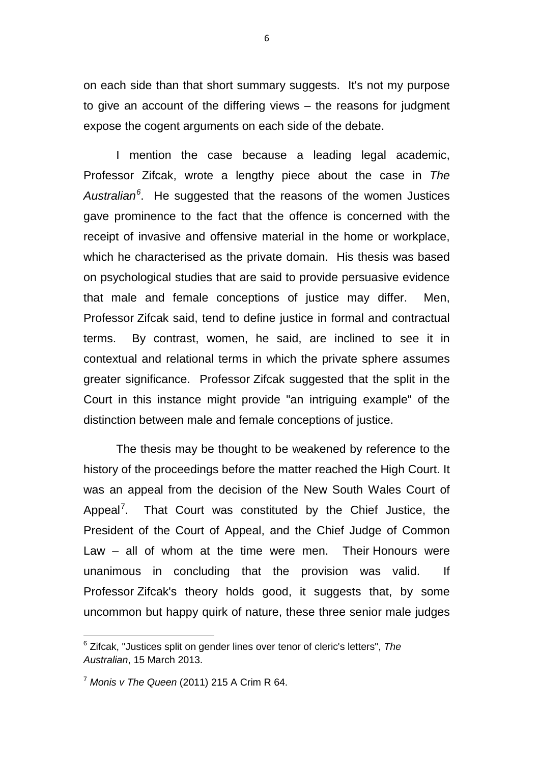on each side than that short summary suggests. It's not my purpose to give an account of the differing views – the reasons for judgment expose the cogent arguments on each side of the debate.

I mention the case because a leading legal academic, Professor Zifcak, wrote a lengthy piece about the case in *The Australian[6](#page-5-0)* . He suggested that the reasons of the women Justices gave prominence to the fact that the offence is concerned with the receipt of invasive and offensive material in the home or workplace, which he characterised as the private domain. His thesis was based on psychological studies that are said to provide persuasive evidence that male and female conceptions of justice may differ. Men, Professor Zifcak said, tend to define justice in formal and contractual terms. By contrast, women, he said, are inclined to see it in contextual and relational terms in which the private sphere assumes greater significance. Professor Zifcak suggested that the split in the Court in this instance might provide "an intriguing example" of the distinction between male and female conceptions of justice.

The thesis may be thought to be weakened by reference to the history of the proceedings before the matter reached the High Court. It was an appeal from the decision of the New South Wales Court of Appeal'. . That Court was constituted by the Chief Justice, the President of the Court of Appeal, and the Chief Judge of Common Law – all of whom at the time were men. Their Honours were unanimous in concluding that the provision was valid. If Professor Zifcak's theory holds good, it suggests that, by some uncommon but happy quirk of nature, these three senior male judges

<span id="page-5-0"></span><sup>6</sup> Zifcak, "Justices split on gender lines over tenor of cleric's letters", *The Australian*, 15 March 2013.

<span id="page-5-1"></span><sup>7</sup> *Monis v The Queen* (2011) 215 A Crim R 64.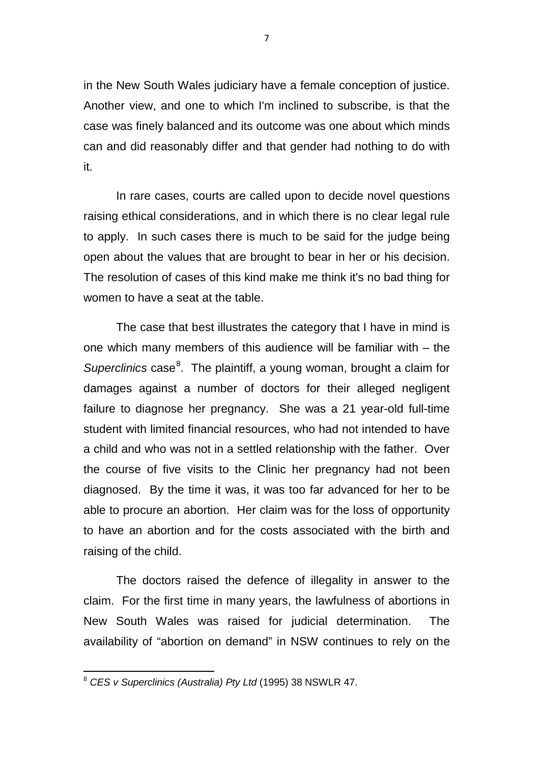in the New South Wales judiciary have a female conception of justice. Another view, and one to which I'm inclined to subscribe, is that the case was finely balanced and its outcome was one about which minds can and did reasonably differ and that gender had nothing to do with it.

In rare cases, courts are called upon to decide novel questions raising ethical considerations, and in which there is no clear legal rule to apply. In such cases there is much to be said for the judge being open about the values that are brought to bear in her or his decision. The resolution of cases of this kind make me think it's no bad thing for women to have a seat at the table.

The case that best illustrates the category that I have in mind is one which many members of this audience will be familiar with – the Superclinics case<sup>[8](#page-6-0)</sup>. The plaintiff, a young woman, brought a claim for damages against a number of doctors for their alleged negligent failure to diagnose her pregnancy. She was a 21 year-old full-time student with limited financial resources, who had not intended to have a child and who was not in a settled relationship with the father. Over the course of five visits to the Clinic her pregnancy had not been diagnosed. By the time it was, it was too far advanced for her to be able to procure an abortion. Her claim was for the loss of opportunity to have an abortion and for the costs associated with the birth and raising of the child.

The doctors raised the defence of illegality in answer to the claim. For the first time in many years, the lawfulness of abortions in New South Wales was raised for judicial determination. The availability of "abortion on demand" in NSW continues to rely on the

<span id="page-6-0"></span><sup>8</sup> *CES v Superclinics (Australia) Pty Ltd* (1995) 38 NSWLR 47.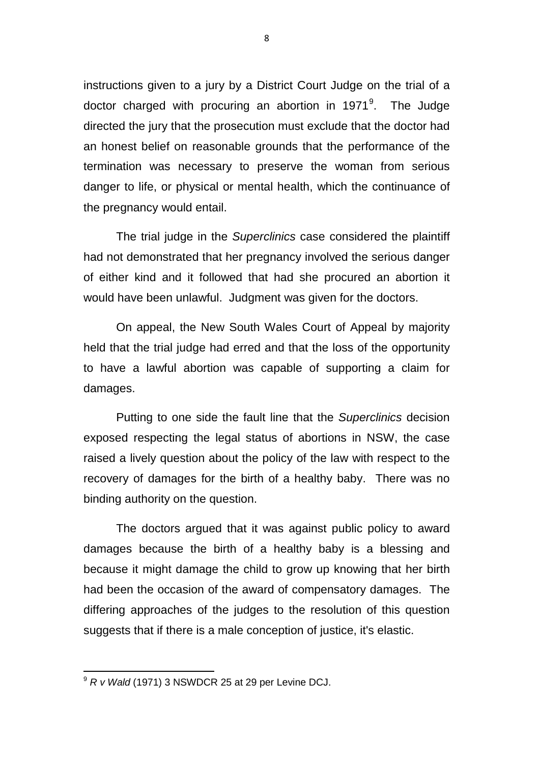instructions given to a jury by a District Court Judge on the trial of a doctor charged with procuring an abortion in 1[9](#page-7-0)71<sup>9</sup>. The Judge directed the jury that the prosecution must exclude that the doctor had an honest belief on reasonable grounds that the performance of the termination was necessary to preserve the woman from serious danger to life, or physical or mental health, which the continuance of the pregnancy would entail.

The trial judge in the *Superclinics* case considered the plaintiff had not demonstrated that her pregnancy involved the serious danger of either kind and it followed that had she procured an abortion it would have been unlawful. Judgment was given for the doctors.

On appeal, the New South Wales Court of Appeal by majority held that the trial judge had erred and that the loss of the opportunity to have a lawful abortion was capable of supporting a claim for damages.

Putting to one side the fault line that the *Superclinics* decision exposed respecting the legal status of abortions in NSW, the case raised a lively question about the policy of the law with respect to the recovery of damages for the birth of a healthy baby. There was no binding authority on the question.

The doctors argued that it was against public policy to award damages because the birth of a healthy baby is a blessing and because it might damage the child to grow up knowing that her birth had been the occasion of the award of compensatory damages. The differing approaches of the judges to the resolution of this question suggests that if there is a male conception of justice, it's elastic.

<span id="page-7-0"></span><sup>9</sup> *R v Wald* (1971) 3 NSWDCR 25 at 29 per Levine DCJ.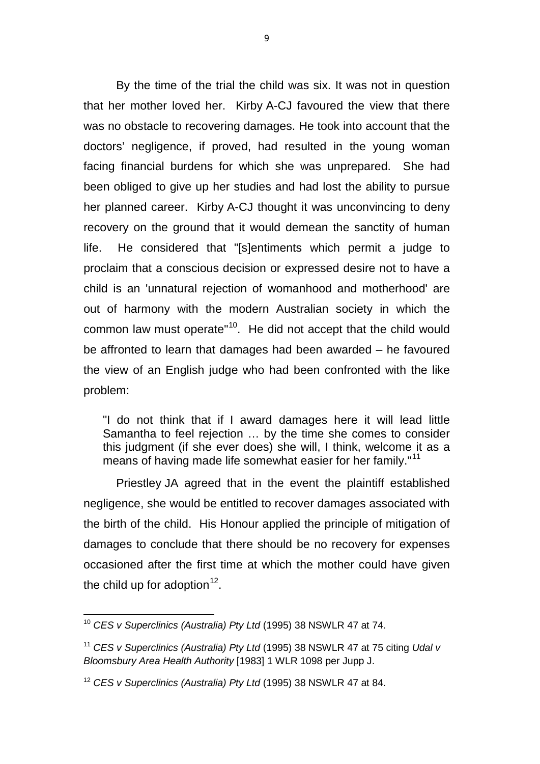By the time of the trial the child was six. It was not in question that her mother loved her. Kirby A-CJ favoured the view that there was no obstacle to recovering damages. He took into account that the doctors' negligence, if proved, had resulted in the young woman facing financial burdens for which she was unprepared. She had been obliged to give up her studies and had lost the ability to pursue her planned career. Kirby A-CJ thought it was unconvincing to deny recovery on the ground that it would demean the sanctity of human life. He considered that "[s]entiments which permit a judge to proclaim that a conscious decision or expressed desire not to have a child is an 'unnatural rejection of womanhood and motherhood' are out of harmony with the modern Australian society in which the common law must operate"<sup>10</sup>. He did not accept that the child would be affronted to learn that damages had been awarded – he favoured the view of an English judge who had been confronted with the like problem:

"I do not think that if I award damages here it will lead little Samantha to feel rejection … by the time she comes to consider this judgment (if she ever does) she will, I think, welcome it as a means of having made life somewhat easier for her family."<sup>[11](#page-8-1)</sup>

Priestley JA agreed that in the event the plaintiff established negligence, she would be entitled to recover damages associated with the birth of the child. His Honour applied the principle of mitigation of damages to conclude that there should be no recovery for expenses occasioned after the first time at which the mother could have given the child up for adoption<sup>12</sup>.

<span id="page-8-0"></span><sup>10</sup> *CES v Superclinics (Australia) Pty Ltd* (1995) 38 NSWLR 47 at 74.

<span id="page-8-1"></span><sup>11</sup> *CES v Superclinics (Australia) Pty Ltd* (1995) 38 NSWLR 47 at 75 citing *Udal v Bloomsbury Area Health Authority* [1983] 1 WLR 1098 per Jupp J.

<span id="page-8-2"></span><sup>12</sup> *CES v Superclinics (Australia) Pty Ltd* (1995) 38 NSWLR 47 at 84.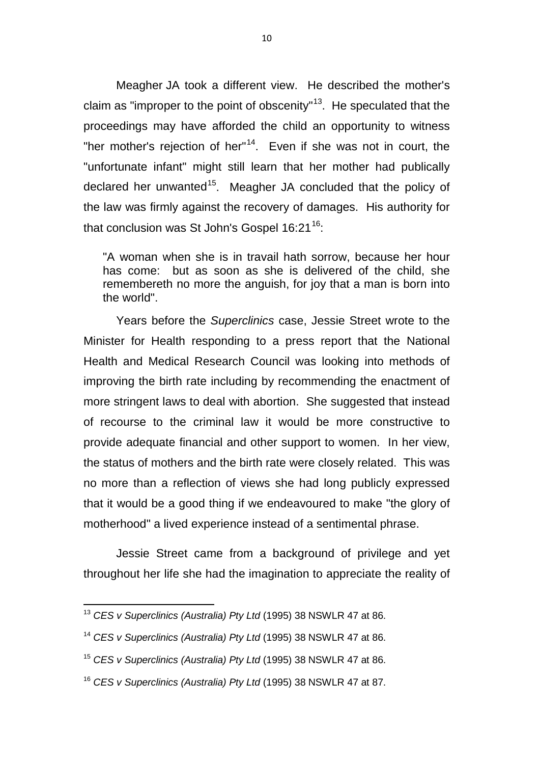Meagher JA took a different view. He described the mother's claim as "improper to the point of obscenity"<sup>[13](#page-9-0)</sup>. He speculated that the proceedings may have afforded the child an opportunity to witness "her mother's rejection of her"<sup>14</sup>. Even if she was not in court, the "unfortunate infant" might still learn that her mother had publically declared her unwanted<sup>[15](#page-9-2)</sup>. Meagher JA concluded that the policy of the law was firmly against the recovery of damages. His authority for that conclusion was St John's Gospel  $16:21^{16}$  $16:21^{16}$ .

"A woman when she is in travail hath sorrow, because her hour has come: but as soon as she is delivered of the child, she remembereth no more the anguish, for joy that a man is born into the world".

Years before the *Superclinics* case, Jessie Street wrote to the Minister for Health responding to a press report that the National Health and Medical Research Council was looking into methods of improving the birth rate including by recommending the enactment of more stringent laws to deal with abortion. She suggested that instead of recourse to the criminal law it would be more constructive to provide adequate financial and other support to women. In her view, the status of mothers and the birth rate were closely related. This was no more than a reflection of views she had long publicly expressed that it would be a good thing if we endeavoured to make "the glory of motherhood" a lived experience instead of a sentimental phrase.

Jessie Street came from a background of privilege and yet throughout her life she had the imagination to appreciate the reality of

<span id="page-9-0"></span><sup>13</sup> *CES v Superclinics (Australia) Pty Ltd* (1995) 38 NSWLR 47 at 86.

<span id="page-9-1"></span><sup>14</sup> *CES v Superclinics (Australia) Pty Ltd* (1995) 38 NSWLR 47 at 86.

<span id="page-9-2"></span><sup>15</sup> *CES v Superclinics (Australia) Pty Ltd* (1995) 38 NSWLR 47 at 86.

<span id="page-9-3"></span><sup>16</sup> *CES v Superclinics (Australia) Pty Ltd* (1995) 38 NSWLR 47 at 87.